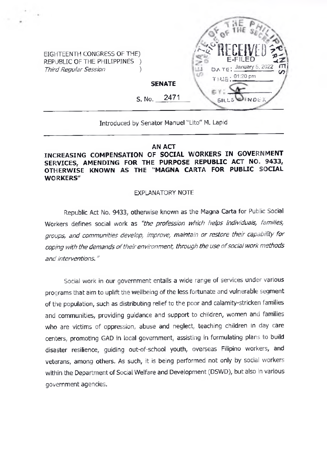EIGHTEENTH CONGRESS OF THE) REPUBLIC OF THE PHIUPPINES ) *Third Reqular Session* **)** 



# Introduced by Senator Manuel "Lito" M. Lapid

### **AN ACT**

## **INCREASING COMPENSATION OF SOCIAL WORKERS IN GOVERNMENT SERVICES, AMENDING FOR THE PURPOSE REPUBLIC ACT NO. 9433, OTHERWISE KNOWN AS THE "MAGNA CARTA FOR PUBUC SOCIAL WORKERS"**

### EXPLANATORY NOTE

Republic Act No. 9433, otherwise known as the Magna Carta for Public Social Workers defines social work as *"the profession which helps individuals, families, groups, and communities develop, improve, maintain or restore their capability for coping with the demands oftheirenvironment, through the use ofsocial work methods and interventions."*

Social work in our government entails a wide range of services under various programs that aim to uplift the wellbeing of the less fortunate and vulnerable segment of the population, such as distributing relief to the poor and calamity-stricken families and communities, providing guidance and support to children, women and families who are victims of oppression, abuse and neglect, teaching children in day care centers, promoting GAD in local government, assisting in formulating plans to build disaster resilience, guiding out-of-school youth, overseas Filipino workers, and veterans, among others. As such, it is being performed not only by social workers within the Department of Social Welfare and Development (DSWD), but also in various government agencies.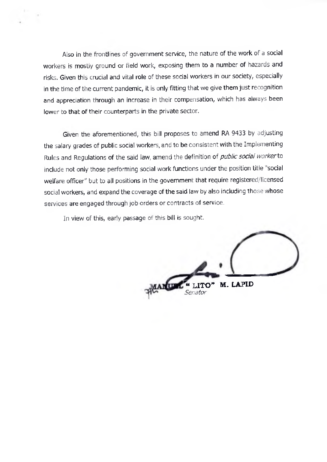Also in the frontlines of government service, the nature of the work of a social workers is mostly ground or field work, exposing them to a number of hazards and risks. Given this crucial and vital role of these social workers in our society, especially in the time of the current pandemic, it is only fitting that we give them just recognition and appreciation through an increase in their compensation, which has always been lower to that of their counterparts in the private sector.

Given the aforementioned, this bill proposes to amend RA 9433 by adjusting the salary grades of public social workers, and to be consistent with the Implementing Rules and Regulations of the said law, amend the definition of *public socid! workerio* include not only those performing social work functions under the position title "social welfare officer" but to all positions in the government that require registered/licensed social workers, and expand the coverage of the said law by also including those whose services are engaged through job orders or contracts of service.

In view of this, early passage of this bill is sought.

LITO" M. LAPID *Senator*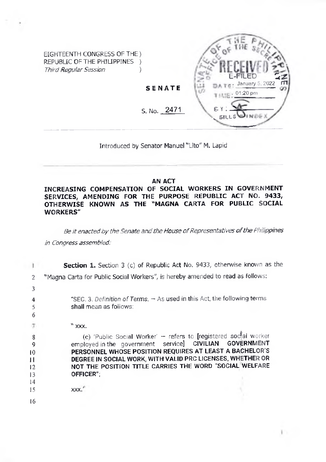

Introduced by Senator Manuel "Lito" M. Lapid

#### **AN ACT**

**INCREASING COMPENSATION OF SOCIAL WORKERS IN GOVERNMENT SERVICES, AMENDING FOR THE PURPOSE REPUBLIC ACT NO. 9433, OTHERWISE KNOWN AS THE "MAGNA CARTA FOR PUBLIC SOCIAL WORKERS"**

*Be itenactedby theSenate andthe House ofRepresentatives ofthe Philippines in Congress assembled:*

|                                           | Section 1. Section 3 (c) of Republic Act No. 9433, otherwise known as the                                                                                                                                                                                                                                                            |
|-------------------------------------------|--------------------------------------------------------------------------------------------------------------------------------------------------------------------------------------------------------------------------------------------------------------------------------------------------------------------------------------|
| 2                                         | "Magna Carta for Public Social Workers", is hereby amended to read as follows:                                                                                                                                                                                                                                                       |
| 3                                         |                                                                                                                                                                                                                                                                                                                                      |
| 6                                         | "SEC, 3, Definition of Terms. $-$ As used in this Act, the following terms.<br>shall mean as follows:                                                                                                                                                                                                                                |
|                                           | $"$ xxx.                                                                                                                                                                                                                                                                                                                             |
| 8<br>9<br>10<br>П<br>12<br>13<br>14<br>15 | (c) 'Public Social Worker' - refers to [registered soctal worker<br>employed in the government service] CIVILIAN GOVERNMENT<br>PERSONNEL WHOSE POSITION REQUIRES AT LEAST A BACHELOR'S<br>DEGREE IN SOCIAL WORK, WITH VALID PRC LICENSES, WHETHER OR<br>NOT THE POSITION TITLE CARRIES THE WORD "SOCIAL WELFARE<br>OFFICER":<br>XXX. |
| 16                                        |                                                                                                                                                                                                                                                                                                                                      |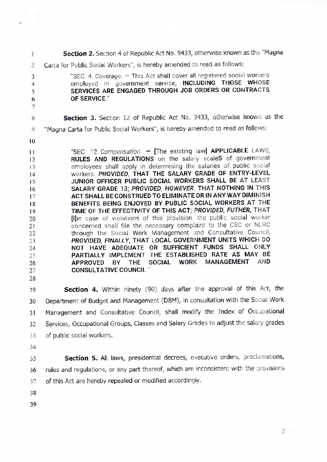**Section 2.** Section 4 of Republic Act No. 9433, othenwise known as the "Magna 1 Carta for Public Social Workers", is hereby amended to read as follows: 2 "SEC. 4. *Coverage. -* This Act shall cover all registered social workers **3** employed in government service, INCLUDING THOSE WHOSE **4** SERVICES ARE ENGAGED THROUGH JOB ORDERS OR CONTRACTS **5** OF SERVICE." **6 7 Section 3.** Section 12 of Republic Act No. 9433, otherwise known as the 8 "Magna Carta for Public Social Workers", is hereby amended to read as follows: 9 **10** "SEC. 12. Compensation. - [The existing law] APPLICABLE LAWS, **11** RULES AND REGULATIONS on the salary scaleS of government **12** employees shall apply in determining the salaries of public social **13** workers. *PROVIDED,* THAT THE SALARY GRADE OF ENTRY-LEVEL **14** JUNIOR OFFICER PUBLIC SOCIAL WORKERS SHALL BE AT LEAST **15** SALARY GRADE 13; *PROVIDED, HOWEVER.* THAT NOTHING IN THIS **16** ACT SHALL BE CONSTRUED TO ELIMINATE OR IN ANY WAY DIMINISH **17** BENEFITS BEING ENJOYED BY PUBLIC SOCIAL WORKERS AT THE **18** TIME OF THE EFFECTIVITY OF THIS ACT; *PROVIDED, FUTHER,* THAT **19** Illin case of violations of this provision, the public social worker **20** concerned shall file the necessary complaint to the CSC or NLRC **21** through the Social Work Management and Consultative Council; **22** *PROVIDED, FINALLY,* THAT LOCAL GOVERNMENT UNITS WHICH DO **23** NOT HAVE ADEQUATE OR SUFFICIENT FUNDS SHALL ONLY **24** PARTIALLY IMPLEMENT THE ESTABLISHED RATE AS MAY BE **25** APPROVED BY THE SOCIAL WORK MANAGEMENT AND **26** CONSULTATIVE COUNCIL." **27 28**

**29 30 31 32 33 Section 4.** Within ninety (90) days after the approval of this Act, the Department of Budget and Management (DBM), in consultation with the Social Work Management and Consultative Council, shall modify the Index of Occupational Services, Occupational Groups, Classes and Salary Grades to adjust the salary grades of public social workers.

**34**

**35 36 37 Section 5.** All laws, presidential decrees, executive orders, proclamations, rules and regulations, or any part thereof, which are inconsistent with the provisions of this Act are hereby repealed or modified accordingly.

- **38**
- **39**